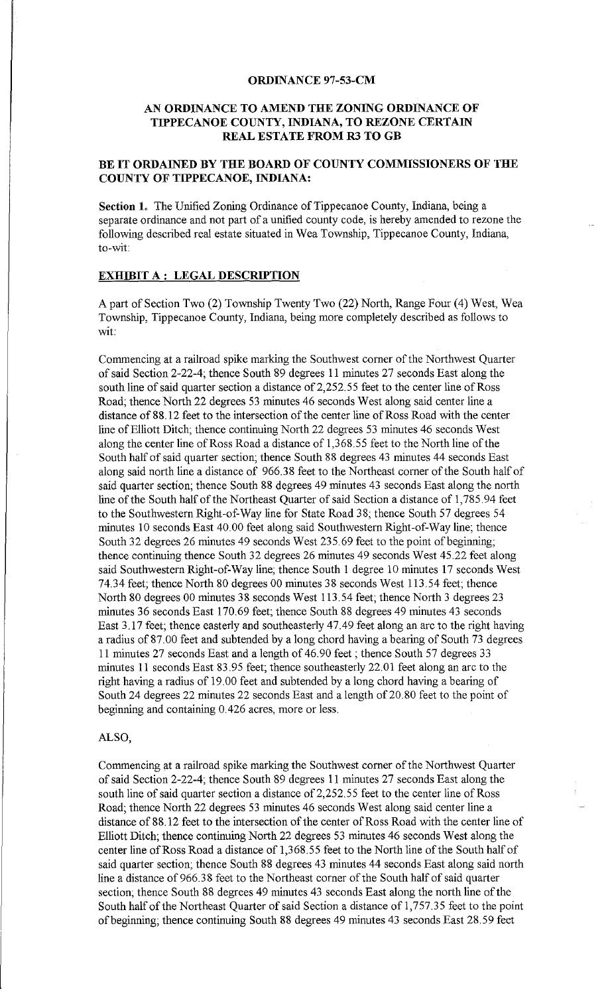#### **ORDINANCE 97-53-CM**

## **AN ORDINANCE TO AMEND THE ZONING ORDINANCE OF TIPPECANOE COUNTY, INDIANA, TO REZONE CERTAIN REAL ESTATE FROM R3 TO GB**

# **BE IT ORDAINED BY THE BOARD OF COUNTY COMMISSIONERS OF THE COUNTY OF TIPPECANOE, INDIANA:**

**Section 1.** The Unified Zoning Ordinance of Tippecanoe County, Indiana, being a separate ordinance and not part of a unified county code, is hereby amended to rezone the following described real estate situated in Wea Township, Tippecanoe County, Indiana, to-wit:

## **EXHIBIT A : LEGAL DESCRIPTION**

A part of Section Two (2) Township Twenty Two (22) North, Range Four (4) West, Wea Township, Tippecanoe County, Indiana, being more completely described as follows to wit:

Commencing at a railroad spike marking the Southwest comer of the Northwest Quarter of said Section 2-22-4; thence South 89 degrees 11 minutes 27 seconds East along the south line of said quarter section a distance of 2,252.55 feet to the center line of Ross Road; thence North 22 degrees 53 minutes 46 seconds West along said center line a distance of88.12 feet to the intersection of the center line ofRoss Road with the center line of Elliott Ditch; thence continuing North 22 degrees 53 minutes 46 seconds West along the center line of Ross Road a distance of 1,368.55 feet to the North line of the South half of said quarter section; thence South 88 degrees 43 minutes 44 seconds East along said north line a distance of 966.38 feet to the Northeast comer of the South half of said quarter section; thence South 88 degrees 49 minutes 43 seconds East along the north line of the South half of the Northeast Quarter of said Section a distance of 1,785.94 feet to the Southwestern Right-of-Way line for State Road 38; thence South 57 degrees 54 minutes 10 seconds East 40. 00 feet along said Southwestern Right-of-Way line; thence South 32 degrees 26 minutes 49 seconds West 235.69 feet to the point of beginning; thence continuing thence South 32 degrees 26 minutes 49 seconds West 45.22 feet along said Southwestern Right-of-Way line; thence South 1 degree 10 minutes 17 seconds West 74.34 feet; thence North 80 degrees 00 minutes 38 seconds West 113.54 feet; thence North 80 degrees 00 minutes 38 seconds West 113.54 feet; thence North 3 degrees 23 minutes 36 seconds East 170.69 feet; thence South 88 degrees 49 minutes 43 seconds East 3.17 feet; thence easterly and southeasterly 47.49 feet along an arc to the right having a radius of 87. 00 feet and subtended by a long chord having a bearing of South 73 degrees 11 minutes 27 seconds East and a length of 46.90 feet; thence South 57 degrees 33 minutes 11 seconds East 83.95 feet; thence southeasterly 22.01 feet along an arc to the right having a radius of 19. 00 feet and subtended by a long chord having a bearing of South 24 degrees 22 minutes 22 seconds East and a length of 20. 80 feet to the point of beginning and containing 0.426 acres, more or less.

#### ALSO,

Commencing at a railroad spike marking the Southwest comer of the Northwest Quarter of said Section 2-22-4; thence South 89 degrees 11 minutes 27 seconds East along the south line of said quarter section a distance of 2,252.55 feet to the center line of Ross Road; thence North 22 degrees 53 minutes 46 seconds West along said center line a distance of 88.12 feet to the intersection of the center of Ross Road with the center line of Elliott Ditch; thence continuing North 22 degrees 53 minutes 46 seconds West along the center line of Ross Road a distance of 1,368.55 feet to the North line of the South half of said quarter section; thence South 88 degrees 43 minutes 44 seconds East along said north line a distance of 966.38 feet to the Northeast corner of the South half of said quarter section; thence South 88 degrees 49 minutes 43 seconds East along the north line of the South half of the Northeast Quarter of said Section a distance of 1,757.35 feet to the point of beginning; thence continuing South 88 degrees 49 minutes 43 seconds East 28.59 feet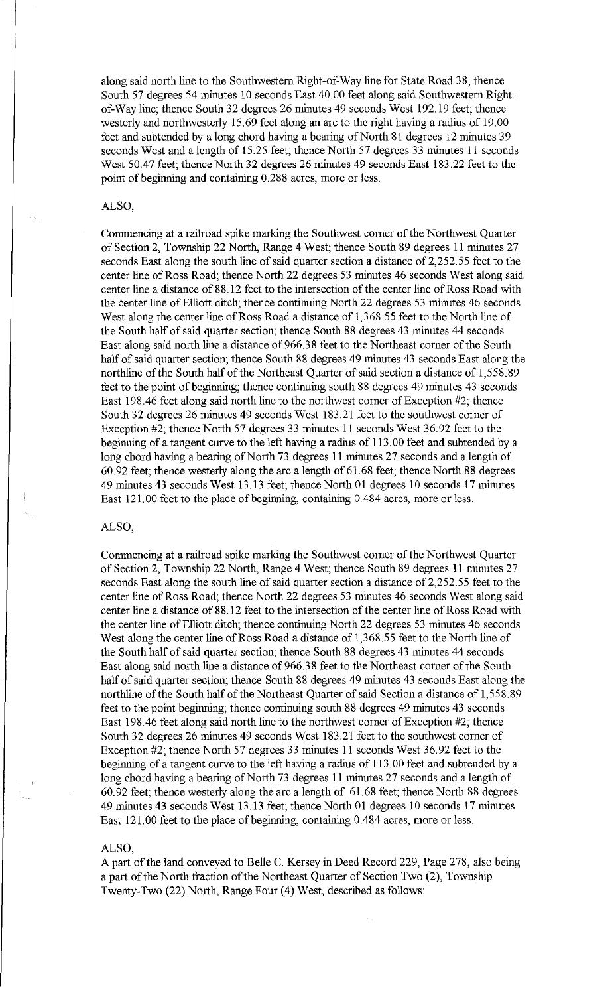along said north line to the Southwestern Right-of-Way line for State Road 38; thence South 57 degrees 54 minutes 10 seconds East 40.00 feet along said Southwestern Rightof-Way line; thence South 32 degrees 26 minutes 49 seconds West 192.19 feet; thence westerly and northwesterly 15.69 feet along an arc to the right having a radius of 19.00 feet and subtended by a long chord having a bearing of North 81 degrees 12 minutes 39 seconds West and a length of 15.25 feet; thence North 57 degrees 33 minutes 11 seconds West 50.47 feet; thence North 32 degrees 26 minutes 49 seconds East 183.22 feet to the point of beginning and containing 0.288 acres, more or less.

### ALSO,

Commencing at a railroad spike marking the Southwest corner of the Northwest Quarter of Section 2, Township 22 North, Range 4 West; thence South 89 degrees 11 minutes 27 seconds East along the south line of said quarter section a distance of 2,252.55 feet to the center line of Ross Road; thence North 22 degrees 53 minutes 46 seconds West along said center line a distance of 88.12 feet to the intersection of the center line of Ross Road with the center line of Elliott ditch; thence continuing North 22 degrees 53 minutes 46 seconds West along the center line of Ross Road a distance of 1,368. 55 feet to the North line of the South half of said quarter section; thence South 88 degrees 43 minutes 44 seconds East along said north line a distance of 966.38 feet to the Northeast corner of the South half of said quarter section; thence South 88 degrees 49 minutes 43 seconds East along the northline of the South half of the Northeast Quarter of said section a distance of 1,558.89 feet to the point of beginning; thence continuing south 88 degrees 49 minutes 43 seconds East 198.46 feet along said north line to the northwest corner of Exception  $#2$ ; thence South 32 degrees 26 minutes 49 seconds West 183.21 feet to the southwest corner of Exception #2; thence North 57 degrees 33 minutes 11 seconds West 36.92 feet to the beginning of a tangent curve to the left having a radius of 113. 00 feet and subtended by a long chord having a bearing of North 73 degrees 11 minutes 27 seconds and a length of 60.92 feet; thence westerly along the arc a length of 61.68 feet; thence North 88 degrees 49 minutes 43 seconds West 13.13 feet; thence North 01 degrees 10 seconds 17 minutes East 121.00 feet to the place of beginning, containing 0.484 acres, more or less.

#### ALSO,

Commencing at a railroad spike marking the Southwest corner of the Northwest Quarter of Section 2, Township 22 North, Range 4 West; thence South 89 degrees 11 minutes 27 seconds East along the south line of said quarter section a distance of 2,252.55 feet to the center line of Ross Road; thence North 22 degrees 53 minutes 46 seconds West along said center line a distance of 88.12 feet to the intersection of the center line of Ross Road with the center line of Elliott ditch; thence continuing North 22 degrees 53 minutes 46 seconds West along the center line of Ross Road a distance of 1,368.55 feet to the North line of the South half of said quarter section; thence South 88 degrees 43 minutes 44 seconds East along said north line a distance of 966.38 feet to the Northeast corner of the South half of said quarter section; thence South 88 degrees 49 minutes 43 seconds East along the northline of the South half of the Northeast Quarter of said Section a distance of 1,558.89 feet to the point beginning; thence continuing south 88 degrees 49 minutes 43 seconds East 198.46 feet along said north line to the northwest corner of Exception #2; thence South 32 degrees 26 minutes 49 seconds West 183.21 feet to the southwest corner of Exception #2; thence North 57 degrees 33 minutes 11 seconds West 36.92 feet to the beginning of a tangent curve to the left having a radius of 113. 00 feet and subtended by a long chord having a bearing of North 73 degrees 11 minutes 27 seconds and a length of 60. 92 feet; thence westerly along the arc a length of 61. 68 feet; thence North 88 degrees 49 minutes 43 seconds West 13.13 feet; thence North 01 degrees 10 seconds 17 minutes East 121.00 feet to the place of beginning, containing 0.484 acres, more or less.

### ALSO,

A part of the land conveyed to Belle C. Kersey in Deed Record 229, Page 278, also being a part of the North fraction of the Northeast Quarter of Section Two (2), Township Twenty-Two (22) North, Range Four (4) West, described as follows: